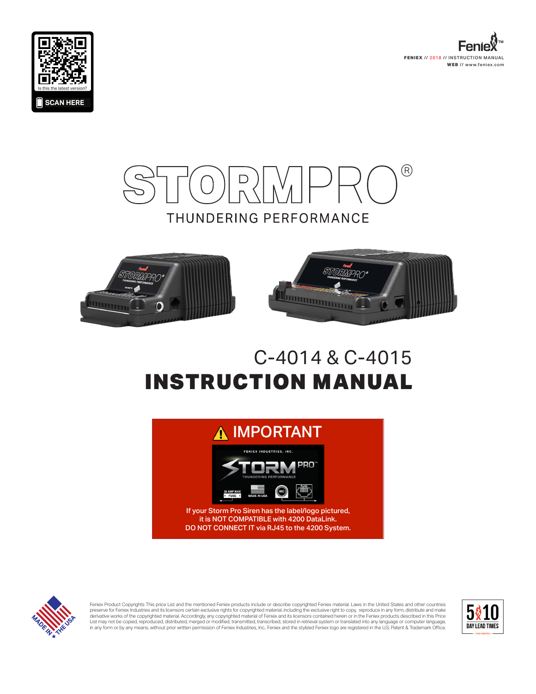









# C-4014 & C-4015 INSTRUCTION MANUAL





Feniex Product Copyrights This price List and the mentioned Feniex products include or describe copyrighted Feniex material. Laws in the United States and other countries preserve tor Feniex Industries and its licensors certain exclusive rights tor copyrighted material, including the exclusive right to copy, reproduce in any form, distribute and make<br>derivative works of the copyrighted mate

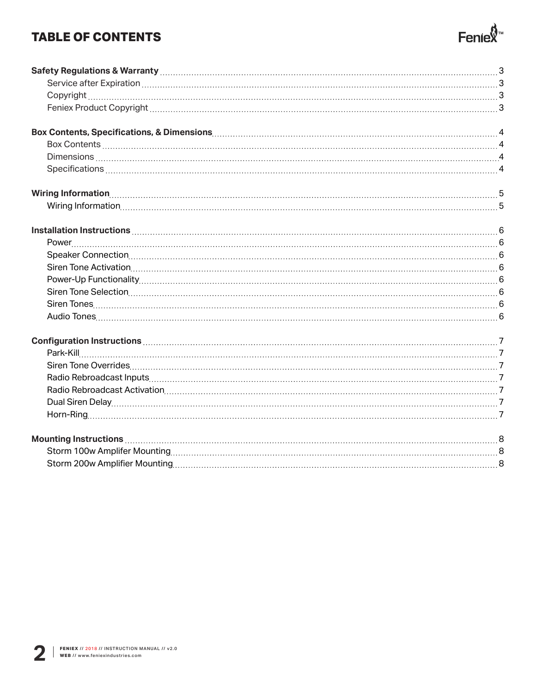## **TABLE OF CONTENTS**

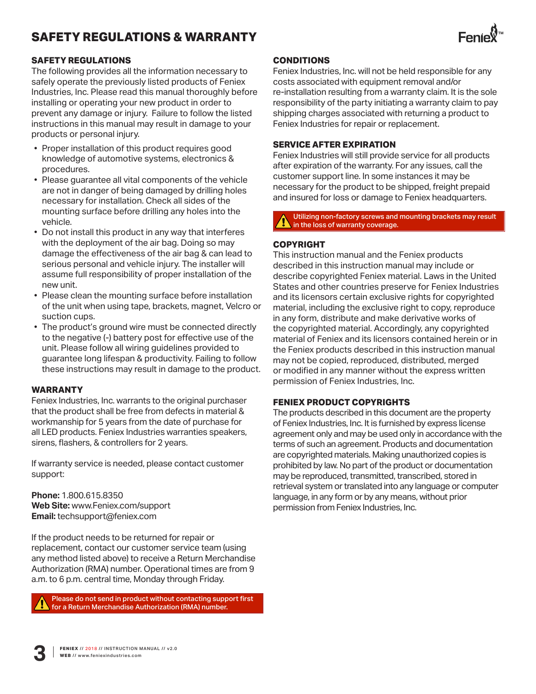# **SAFETY REGULATIONS & WARRANTY**



#### **SAFETY REGULATIONS**

The following provides all the information necessary to safely operate the previously listed products of Feniex Industries, Inc. Please read this manual thoroughly before installing or operating your new product in order to prevent any damage or injury. Failure to follow the listed instructions in this manual may result in damage to your products or personal injury.

- Proper installation of this product requires good knowledge of automotive systems, electronics & procedures.
- Please guarantee all vital components of the vehicle are not in danger of being damaged by drilling holes necessary for installation. Check all sides of the mounting surface before drilling any holes into the vehicle.
- Do not install this product in any way that interferes with the deployment of the air bag. Doing so may damage the effectiveness of the air bag & can lead to serious personal and vehicle injury. The installer will assume full responsibility of proper installation of the new unit.
- Please clean the mounting surface before installation of the unit when using tape, brackets, magnet, Velcro or suction cups.
- The product's ground wire must be connected directly to the negative (-) battery post for effective use of the unit. Please follow all wiring guidelines provided to guarantee long lifespan & productivity. Failing to follow these instructions may result in damage to the product.

#### **WARRANTY**

Feniex Industries, Inc. warrants to the original purchaser that the product shall be free from defects in material & workmanship for 5 years from the date of purchase for all LED products. Feniex Industries warranties speakers, sirens, flashers, & controllers for 2 years.

If warranty service is needed, please contact customer support:

**Phone:** 1.800.615.8350 **Web Site:** www.Feniex.com/support **Email:** techsupport@feniex.com

If the product needs to be returned for repair or replacement, contact our customer service team (using any method listed above) to receive a Return Merchandise Authorization (RMA) number. Operational times are from 9 a.m. to 6 p.m. central time, Monday through Friday.

Please do not send in product without contacting support first for a Return Merchandise Authorization (RMA) number.

#### **CONDITIONS**

Feniex Industries, Inc. will not be held responsible for any costs associated with equipment removal and/or re-installation resulting from a warranty claim. It is the sole responsibility of the party initiating a warranty claim to pay shipping charges associated with returning a product to Feniex Industries for repair or replacement.

#### **SERVICE AFTER EXPIRATION**

Feniex Industries will still provide service for all products after expiration of the warranty. For any issues, call the customer support line. In some instances it may be necessary for the product to be shipped, freight prepaid and insured for loss or damage to Feniex headquarters.

Utilizing non-factory screws and mounting brackets may result in the loss of warranty coverage.

#### **COPYRIGHT**

This instruction manual and the Feniex products described in this instruction manual may include or describe copyrighted Feniex material. Laws in the United States and other countries preserve for Feniex Industries and its licensors certain exclusive rights for copyrighted material, including the exclusive right to copy, reproduce in any form, distribute and make derivative works of the copyrighted material. Accordingly, any copyrighted material of Feniex and its licensors contained herein or in the Feniex products described in this instruction manual may not be copied, reproduced, distributed, merged or modified in any manner without the express written permission of Feniex Industries, Inc.

#### **FENIEX PRODUCT COPYRIGHTS**

The products described in this document are the property of Feniex Industries, Inc. It is furnished by express license agreement only and may be used only in accordance with the terms of such an agreement. Products and documentation are copyrighted materials. Making unauthorized copies is prohibited by law. No part of the product or documentation may be reproduced, transmitted, transcribed, stored in retrieval system or translated into any language or computer language, in any form or by any means, without prior permission from Feniex Industries, Inc.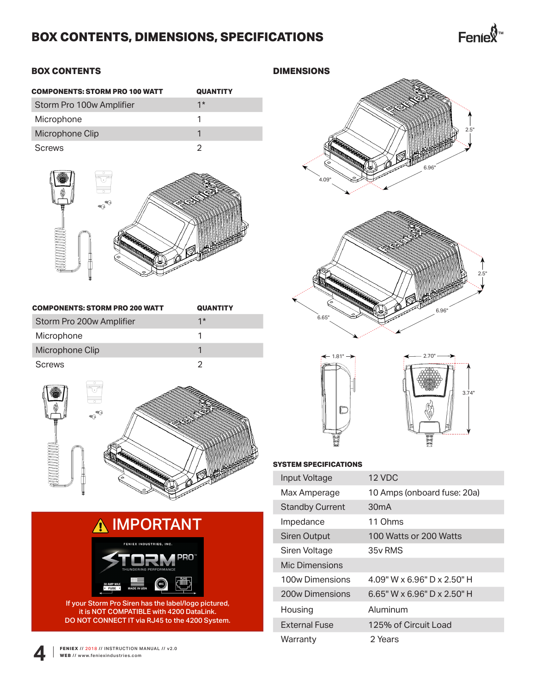### **BOX CONTENTS, DIMENSIONS, SPECIFICATIONS**

#### **BOX CONTENTS**

| <b>COMPONENTS: STORM PRO 100 WATT</b> | <b>QUANTITY</b> |  |
|---------------------------------------|-----------------|--|
| Storm Pro 100w Amplifier              | $1*$            |  |
| Microphone                            |                 |  |
| Microphone Clip                       |                 |  |
| Screws                                |                 |  |



| COMPONENTS: STORM PRO 200 WATT | <b>QUANTITY</b> |
|--------------------------------|-----------------|
| Storm Pro 200w Amplifier       | $1*$            |
| Microphone                     |                 |
| Microphone Clip                |                 |
| Screws                         |                 |



# A IMPORTANT



If your Storm Pro Siren has the label/logo pictured, it is NOT COMPATIBLE with 4200 DataLink. DO NOT CONNECT IT via RJ45 to the 4200 System.

# **DIMENSIONS**









#### **SYSTEM SPECIFICATIONS**

| Input Voltage          | 12 VDC                        |
|------------------------|-------------------------------|
| Max Amperage           | 10 Amps (onboard fuse: 20a)   |
| <b>Standby Current</b> | 30 <sub>m</sub> A             |
| Impedance              | 11 Ohms                       |
| Siren Output           | 100 Watts or 200 Watts        |
| Siren Voltage          | 35y RMS                       |
| Mic Dimensions         |                               |
| 100w Dimensions        | $4.09"$ W x 6.96" D x 2.50" H |
| 200w Dimensions        | 6.65" W x 6.96" D x 2.50" H   |
| Housing                | Aluminum                      |
| External Fuse          | 125% of Circuit Load          |
| Warranty               | 2 Years                       |

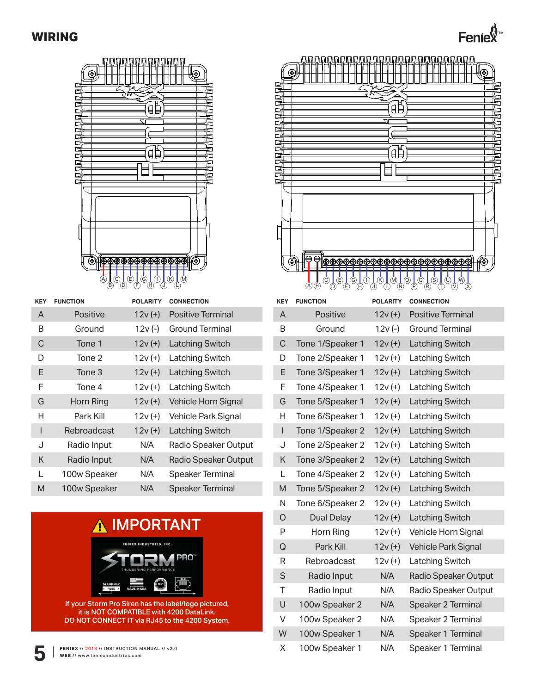### **WIRING**



| <b>KEY</b> | <b>FUNCTION</b> | <b>POLARITY</b> | <b>CONNECTION</b>       |
|------------|-----------------|-----------------|-------------------------|
| A          | Positive        | $12v (+)$       | Positive Terminal       |
| B          | Ground          | $12v(-)$        | Ground Terminal         |
| C          | Tone 1          | $12v (+)$       | <b>Latching Switch</b>  |
| D          | Tone 2          | $12v (+)$       | <b>Latching Switch</b>  |
| E          | Tone 3          | $12v (+)$       | Latching Switch         |
| F          | Tone 4          | $12v (+)$       | Latching Switch         |
| G          | Horn Ring       | $12v (+)$       | Vehicle Horn Signal     |
| н          | Park Kill       | $12v (+)$       | Vehicle Park Signal     |
| I          | Rebroadcast     | $12v (+)$       | <b>Latching Switch</b>  |
| J          | Radio Input     | N/A             | Radio Speaker Output    |
| K          | Radio Input     | N/A             | Radio Speaker Output    |
| L          | 100w Speaker    | N/A             | Speaker Terminal        |
| M          | 100w Speaker    | N/A             | <b>Speaker Terminal</b> |
|            |                 |                 |                         |



it is NOT COMPATIBLE with 4200 DataLink. DO NOT CONNECT IT via RJ45 to the 4200 System.



**Fenie** 

| <b>KEY</b>               | <b>FUNCTION</b>   | <b>POLARITY</b> | <b>CONNECTION</b>           |
|--------------------------|-------------------|-----------------|-----------------------------|
| A                        | Positive          | $12v (+)$       | <b>Positive Terminal</b>    |
| Β                        | Ground            | $12v(-)$        | <b>Ground Terminal</b>      |
| C                        | Tone 1/Speaker 1  | $12v (+)$       | <b>Latching Switch</b>      |
| D                        | Tone 2/Speaker 1  | $12v (+)$       | Latching Switch             |
| E                        | Tone 3/Speaker 1  | $12v (+)$       | <b>Latching Switch</b>      |
| F                        | Tone 4/Speaker 1  | $12v (+)$       | Latching Switch             |
| G                        | Tone 5/Speaker 1  | $12v (+)$       | <b>Latching Switch</b>      |
| Н                        | Tone 6/Speaker 1  | $12v (+)$       | Latching Switch             |
| $\overline{\phantom{a}}$ | Tone 1/Speaker 2  | $12v (+)$       | <b>Latching Switch</b>      |
| J                        | Tone 2/Speaker 2  | $12v (+)$       | Latching Switch             |
| Κ                        | Tone 3/Speaker 2  | $12v (+)$       | <b>Latching Switch</b>      |
| L                        | Tone 4/Speaker 2  | $12v (+)$       | Latching Switch             |
| M                        | Tone 5/Speaker 2  | $12v (+)$       | Latching Switch             |
| Ν                        | Tone 6/Speaker 2  | $12v (+)$       | Latching Switch             |
| O                        | <b>Dual Delay</b> | $12v (+)$       | <b>Latching Switch</b>      |
| Ρ                        | Horn Ring         | $12v (+)$       | Vehicle Horn Signal         |
| Q                        | Park Kill         | $12v (+)$       | Vehicle Park Signal         |
| R                        | Rebroadcast       | $12v (+)$       | Latching Switch             |
| S                        | Radio Input       | N/A             | <b>Radio Speaker Output</b> |
| Τ                        | Radio Input       | N/A             | Radio Speaker Output        |
| U                        | 100w Speaker 2    | N/A             | Speaker 2 Terminal          |
| V                        | 100w Speaker 2    | N/A             | Speaker 2 Terminal          |
| W                        | 100w Speaker 1    | N/A             | Speaker 1 Terminal          |
| Χ                        | 100w Speaker 1    | N/A             | Speaker 1 Terminal          |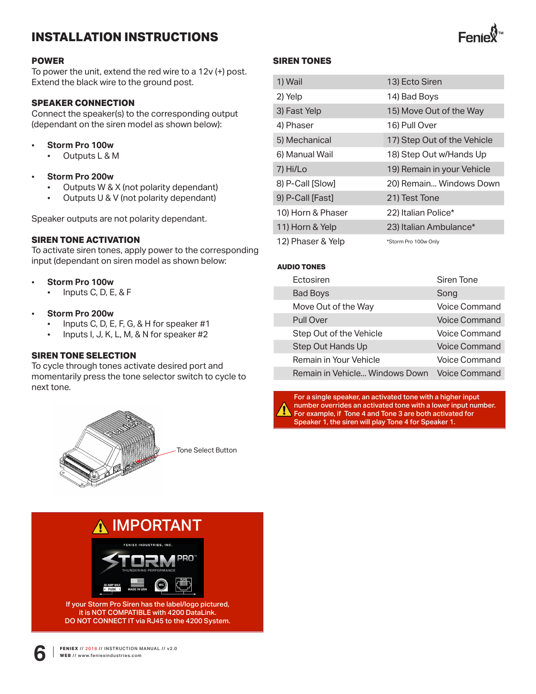## **INSTALLATION INSTRUCTIONS**

#### **POWER**

To power the unit, extend the red wire to a 12v (+) post. Extend the black wire to the ground post.

#### **SPEAKER CONNECTION**

Connect the speaker(s) to the corresponding output (dependant on the siren model as shown below):

- **Storm Pro 100w**
	- Outputs L & M
- **Storm Pro 200w**
	- Outputs W & X (not polarity dependant)<br>• Outputs U & V (not polarity dependant)
	- Outputs U & V (not polarity dependant)

Speaker outputs are not polarity dependant.

#### **SIREN TONE ACTIVATION**

To activate siren tones, apply power to the corresponding input (dependant on siren model as shown below:

- **Storm Pro 100w**
	- Inputs C, D, E, & F
- **Storm Pro 200w**
	- Inputs C, D, E, F, G, & H for speaker #1
	- Inputs I, J, K, L, M, & N for speaker #2

#### **SIREN TONE SELECTION**

To cycle through tones activate desired port and momentarily press the tone selector switch to cycle to next tone.





If your Storm Pro Siren has the label/logo pictured, it is NOT COMPATIBLE with 4200 DataLink. DO NOT CONNECT IT via RJ45 to the 4200 System.

# **FENIEX** // 2018 // INSTRUCTION MANUAL // v2.0 **6 WEB** // www.feniexindustries.com

#### **SIREN TONES**

| 1) Wail           | 13) Ecto Siren              |
|-------------------|-----------------------------|
| 2) Yelp           | 14) Bad Boys                |
| 3) Fast Yelp      | 15) Move Out of the Way     |
| 4) Phaser         | 16) Pull Over               |
| 5) Mechanical     | 17) Step Out of the Vehicle |
| 6) Manual Wail    | 18) Step Out w/Hands Up     |
| 7) Hi/Lo          | 19) Remain in your Vehicle  |
| 8) P-Call [Slow]  | 20) Remain Windows Down     |
| 9) P-Call [Fast]  | 21) Test Tone               |
| 10) Horn & Phaser | 22) Italian Police*         |
| 11) Horn & Yelp   | 23) Italian Ambulance*      |
| 12) Phaser & Yelp | *Storm Pro 100w Only        |

#### **AUDIO TONES**

| Ectosiren                      | Siren Tone           |
|--------------------------------|----------------------|
| <b>Bad Boys</b>                | Song                 |
| Move Out of the Way            | Voice Command        |
| <b>Pull Over</b>               | <b>Voice Command</b> |
| Step Out of the Vehicle        | Voice Command        |
| Step Out Hands Up              | Voice Command        |
| Remain in Your Vehicle         | Voice Command        |
| Remain in Vehicle Windows Down | <b>Voice Command</b> |

For a single speaker, an activated tone with a higher input number overrides an activated tone with a lower input number. For example, if Tone 4 and Tone 3 are both activated for Speaker 1, the siren will play Tone 4 for Speaker 1.

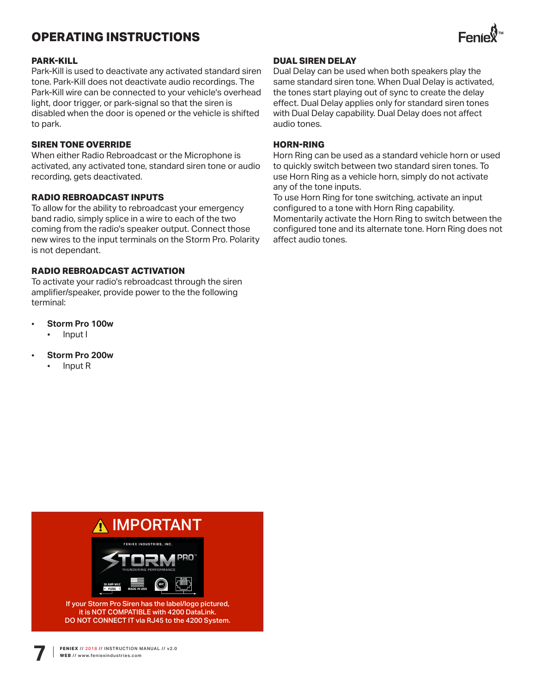## **OPERATING INSTRUCTIONS**

#### **PARK-KILL**

Park-Kill is used to deactivate any activated standard siren tone. Park-Kill does not deactivate audio recordings. The Park-Kill wire can be connected to your vehicle's overhead light, door trigger, or park-signal so that the siren is disabled when the door is opened or the vehicle is shifted to park.

#### **SIREN TONE OVERRIDE**

When either Radio Rebroadcast or the Microphone is activated, any activated tone, standard siren tone or audio recording, gets deactivated.

#### **RADIO REBROADCAST INPUTS**

To allow for the ability to rebroadcast your emergency band radio, simply splice in a wire to each of the two coming from the radio's speaker output. Connect those new wires to the input terminals on the Storm Pro. Polarity is not dependant.

#### **RADIO REBROADCAST ACTIVATION**

To activate your radio's rebroadcast through the siren amplifier/speaker, provide power to the the following terminal:

- **Storm Pro 100w**
	- Input I
- **Storm Pro 200w**
	- Input R

#### **DUAL SIREN DELAY**

Dual Delay can be used when both speakers play the same standard siren tone. When Dual Delay is activated, the tones start playing out of sync to create the delay effect. Dual Delay applies only for standard siren tones with Dual Delay capability. Dual Delay does not affect audio tones.

#### **HORN-RING**

Horn Ring can be used as a standard vehicle horn or used to quickly switch between two standard siren tones. To use Horn Ring as a vehicle horn, simply do not activate any of the tone inputs.

To use Horn Ring for tone switching, activate an input configured to a tone with Horn Ring capability. Momentarily activate the Horn Ring to switch between the configured tone and its alternate tone. Horn Ring does not affect audio tones.